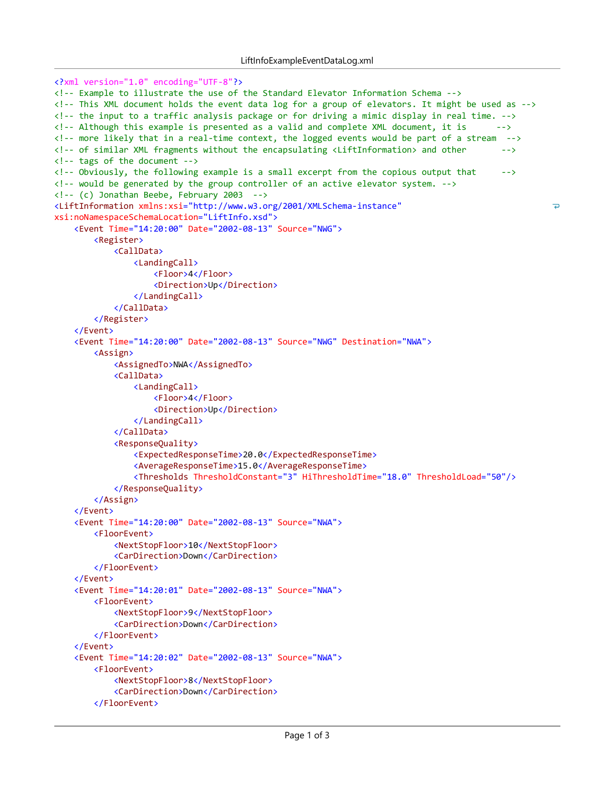```
<?xml version="1.0" encoding="UTF-8"?>
<! Example to illustrate the use of the Standard Elevator Information Schema >
<!-- This XML document holds the event data log for a group of elevators. It might be used as -->
<!-- the input to a traffic analysis package or for driving a mimic display in real time. -->
\langle!-- Although this example is presented as a valid and complete XML document, it is \langle-->
<!-- more likely that in a real-time context, the logged events would be part of a stream -->
<! of similar XML fragments without the encapsulating <LiftInformation> and other       >
\langle!-- tags of the document -->
\langle!-- Obviously, the following example is a small excerpt from the copious output that \rightarrow\langle!-- would be generated by the group controller of an active elevator system. \rightarrow\langle!-- (c) Jonathan Beebe, February 2003 -->
<LiftInformation xmlns:xsi="http://www.w3.org/2001/XMLSchema-instance"
                                                                                                        \overline{\bullet}xsi:noNamespaceSchemaLocation="LiftInfo.xsd">
    <Event Time="14:20:00" Date="2002-08-13" Source="NWG">
        <Register>
            <CallData>
                <LandingCall>
                     <Floor>4</Floor>
                     <Direction>Up</Direction>
                </LandingCall>
            </CallData>
        </Register>
    </Event>
    <Event Time="14:20:00" Date="2002-08-13" Source="NWG" Destination="NWA">
        <Assign>
            <AssignedTo>NWA</AssignedTo>
            <CallData>
                <LandingCall>
                     <Floor>4</Floor>
                     <Direction>Up</Direction>
                </LandingCall>
            </CallData>
            <ResponseQuality>
                <ExpectedResponseTime>20.0</ExpectedResponseTime>
                <AverageResponseTime>15.0</AverageResponseTime>
                <Thresholds ThresholdConstant="3" HiThresholdTime="18.0" ThresholdLoad="50"/>
            </ResponseQuality>
        </Assign>
    </Event>
    <Event Time="14:20:00" Date="2002-08-13" Source="NWA">
        <FloorEvent>
            <NextStopFloor>10</NextStopFloor>
            <CarDirection>Down</CarDirection>
        </FloorEvent>
    </Event>
    <Event Time="14:20:01" Date="2002-08-13" Source="NWA">
        <FloorEvent>
            <NextStopFloor>9</NextStopFloor>
            <CarDirection>Down</CarDirection>
        </FloorEvent>
    </Event>
    <Event Time="14:20:02" Date="2002-08-13" Source="NWA">
        <FloorEvent>
            <NextStopFloor>8</NextStopFloor>
            <CarDirection>Down</CarDirection>
        </FloorEvent>
```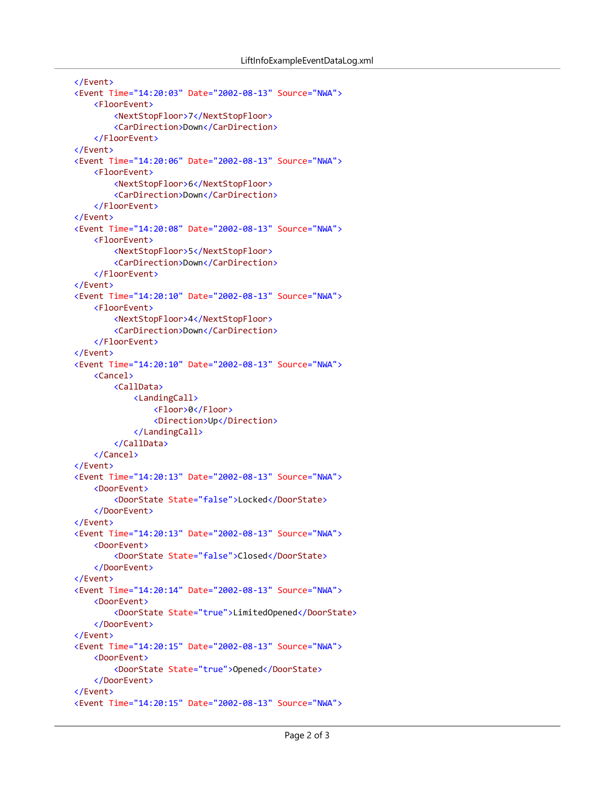```
</Event>
<Event Time="14:20:03" Date="2002-08-13" Source="NWA">
    <FloorEvent>
        <NextStopFloor>7</NextStopFloor>
        <CarDirection>Down</CarDirection>
    </FloorEvent>
</Event>
<Event Time="14:20:06" Date="2002-08-13" Source="NWA">
    <FloorEvent>
        <NextStopFloor>6</NextStopFloor>
        <CarDirection>Down</CarDirection>
    </FloorEvent>
</Event>
<Event Time="14:20:08" Date="2002-08-13" Source="NWA">
    <FloorEvent>
        <NextStopFloor>5</NextStopFloor>
        <CarDirection>Down</CarDirection>
    </FloorEvent>
</Event>
<Event Time="14:20:10" Date="2002-08-13" Source="NWA">
    <FloorEvent>
        <NextStopFloor>4</NextStopFloor>
        <CarDirection>Down</CarDirection>
    </FloorEvent>
</Event>
<Event Time="14:20:10" Date="2002-08-13" Source="NWA">
    <Cancel>
        <CallData>
            <LandingCall>
                <Floor>0</Floor>
                <Direction>Up</Direction>
            </LandingCall>
        </CallData>
    </Cancel>
</Event>
<Event Time="14:20:13" Date="2002-08-13" Source="NWA">
    <DoorEvent>
        <DoorState State="false">Locked</DoorState>
    </DoorEvent>
</Event>
<Event Time="14:20:13" Date="2002-08-13" Source="NWA">
    <DoorEvent>
        <DoorState State="false">Closed</DoorState>
    </DoorEvent>
</Event>
<Event Time="14:20:14" Date="2002-08-13" Source="NWA">
    <DoorEvent>
        <DoorState State="true">LimitedOpened</DoorState>
    </DoorEvent>
</Event>
<Event Time="14:20:15" Date="2002-08-13" Source="NWA">
    <DoorEvent>
        <DoorState State="true">Opened</DoorState>
    </DoorEvent>
</Event>
<Event Time="14:20:15" Date="2002-08-13" Source="NWA">
```